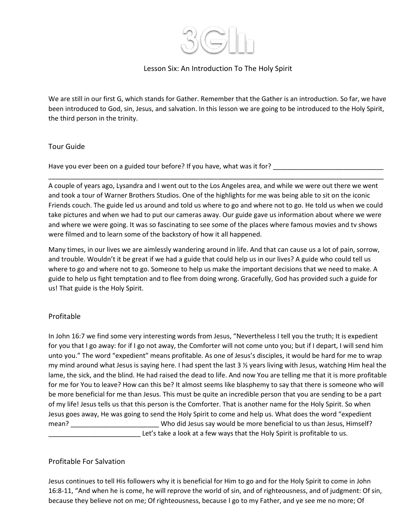

# Lesson Six: An Introduction To The Holy Spirit

We are still in our first G, which stands for Gather. Remember that the Gather is an introduction. So far, we have been introduced to God, sin, Jesus, and salvation. In this lesson we are going to be introduced to the Holy Spirit, the third person in the trinity.

#### Tour Guide

Have you ever been on a guided tour before? If you have, what was it for? \_\_\_\_\_\_\_\_\_\_\_\_\_\_\_\_\_\_\_\_\_\_\_\_\_\_\_\_\_\_

A couple of years ago, Lysandra and I went out to the Los Angeles area, and while we were out there we went and took a tour of Warner Brothers Studios. One of the highlights for me was being able to sit on the iconic Friends couch. The guide led us around and told us where to go and where not to go. He told us when we could take pictures and when we had to put our cameras away. Our guide gave us information about where we were and where we were going. It was so fascinating to see some of the places where famous movies and tv shows were filmed and to learn some of the backstory of how it all happened.

\_\_\_\_\_\_\_\_\_\_\_\_\_\_\_\_\_\_\_\_\_\_\_\_\_\_\_\_\_\_\_\_\_\_\_\_\_\_\_\_\_\_\_\_\_\_\_\_\_\_\_\_\_\_\_\_\_\_\_\_\_\_\_\_\_\_\_\_\_\_\_\_\_\_\_\_\_\_\_\_\_\_\_\_\_\_\_\_\_\_\_

Many times, in our lives we are aimlessly wandering around in life. And that can cause us a lot of pain, sorrow, and trouble. Wouldn't it be great if we had a guide that could help us in our lives? A guide who could tell us where to go and where not to go. Someone to help us make the important decisions that we need to make. A guide to help us fight temptation and to flee from doing wrong. Gracefully, God has provided such a guide for us! That guide is the Holy Spirit.

### Profitable

In John 16:7 we find some very interesting words from Jesus, "Nevertheless I tell you the truth; It is expedient for you that I go away: for if I go not away, the Comforter will not come unto you; but if I depart, I will send him unto you." The word "expedient" means profitable. As one of Jesus's disciples, it would be hard for me to wrap my mind around what Jesus is saying here. I had spent the last 3 ½ years living with Jesus, watching Him heal the lame, the sick, and the blind. He had raised the dead to life. And now You are telling me that it is more profitable for me for You to leave? How can this be? It almost seems like blasphemy to say that there is someone who will be more beneficial for me than Jesus. This must be quite an incredible person that you are sending to be a part of my life! Jesus tells us that this person is the Comforter. That is another name for the Holy Spirit. So when Jesus goes away, He was going to send the Holy Spirit to come and help us. What does the word "expedient mean? \_\_\_\_\_\_\_\_\_\_\_\_\_\_\_\_\_\_\_\_\_\_\_\_ Who did Jesus say would be more beneficial to us than Jesus, Himself? \_\_\_\_\_\_\_\_\_\_\_\_\_\_\_\_\_\_\_\_\_\_\_\_\_ Let's take a look at a few ways that the Holy Spirit is profitable to us.

### Profitable For Salvation

Jesus continues to tell His followers why it is beneficial for Him to go and for the Holy Spirit to come in John 16:8-11, "And when he is come, he will reprove the world of sin, and of righteousness, and of judgment: Of sin, because they believe not on me; Of righteousness, because I go to my Father, and ye see me no more; Of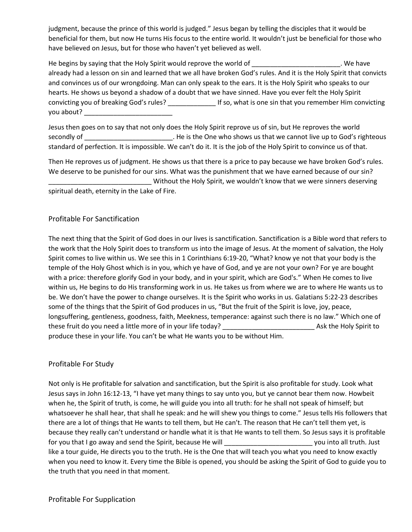judgment, because the prince of this world is judged." Jesus began by telling the disciples that it would be beneficial for them, but now He turns His focus to the entire world. It wouldn't just be beneficial for those who have believed on Jesus, but for those who haven't yet believed as well.

He begins by saying that the Holy Spirit would reprove the world of \_\_\_\_\_\_\_\_\_\_\_\_\_\_\_\_\_\_\_\_\_\_\_\_\_\_. We have already had a lesson on sin and learned that we all have broken God's rules. And it is the Holy Spirit that convicts and convinces us of our wrongdoing. Man can only speak to the ears. It is the Holy Spirit who speaks to our hearts. He shows us beyond a shadow of a doubt that we have sinned. Have you ever felt the Holy Spirit convicting you of breaking God's rules? \_\_\_\_\_\_\_\_\_\_\_\_\_ If so, what is one sin that you remember Him convicting you about? \_\_\_\_\_\_\_\_\_\_\_\_\_\_\_\_\_\_\_\_\_\_\_\_

Jesus then goes on to say that not only does the Holy Spirit reprove us of sin, but He reproves the world secondly of  $\Box$  . He is the One who shows us that we cannot live up to God's righteous standard of perfection. It is impossible. We can't do it. It is the job of the Holy Spirit to convince us of that.

Then He reproves us of judgment. He shows us that there is a price to pay because we have broken God's rules. We deserve to be punished for our sins. What was the punishment that we have earned because of our sin? Without the Holy Spirit, we wouldn't know that we were sinners deserving spiritual death, eternity in the Lake of Fire.

### Profitable For Sanctification

The next thing that the Spirit of God does in our lives is sanctification. Sanctification is a Bible word that refers to the work that the Holy Spirit does to transform us into the image of Jesus. At the moment of salvation, the Holy Spirit comes to live within us. We see this in 1 Corinthians 6:19-20, "What? know ye not that your body is the temple of the Holy Ghost which is in you, which ye have of God, and ye are not your own? For ye are bought with a price: therefore glorify God in your body, and in your spirit, which are God's." When He comes to live within us, He begins to do His transforming work in us. He takes us from where we are to where He wants us to be. We don't have the power to change ourselves. It is the Spirit who works in us. Galatians 5:22-23 describes some of the things that the Spirit of God produces in us, "But the fruit of the Spirit is love, joy, peace, longsuffering, gentleness, goodness, faith, Meekness, temperance: against such there is no law." Which one of these fruit do you need a little more of in your life today? Ask the Holy Spirit to produce these in your life. You can't be what He wants you to be without Him.

### Profitable For Study

Not only is He profitable for salvation and sanctification, but the Spirit is also profitable for study. Look what Jesus says in John 16:12-13, "I have yet many things to say unto you, but ye cannot bear them now. Howbeit when he, the Spirit of truth, is come, he will guide you into all truth: for he shall not speak of himself; but whatsoever he shall hear, that shall he speak: and he will shew you things to come." Jesus tells His followers that there are a lot of things that He wants to tell them, but He can't. The reason that He can't tell them yet, is because they really can't understand or handle what it is that He wants to tell them. So Jesus says it is profitable for you that I go away and send the Spirit, because He will \_\_\_\_\_\_\_\_\_\_\_\_\_\_\_\_\_\_\_\_\_\_\_\_ you into all truth. Just like a tour guide, He directs you to the truth. He is the One that will teach you what you need to know exactly when you need to know it. Every time the Bible is opened, you should be asking the Spirit of God to guide you to the truth that you need in that moment.